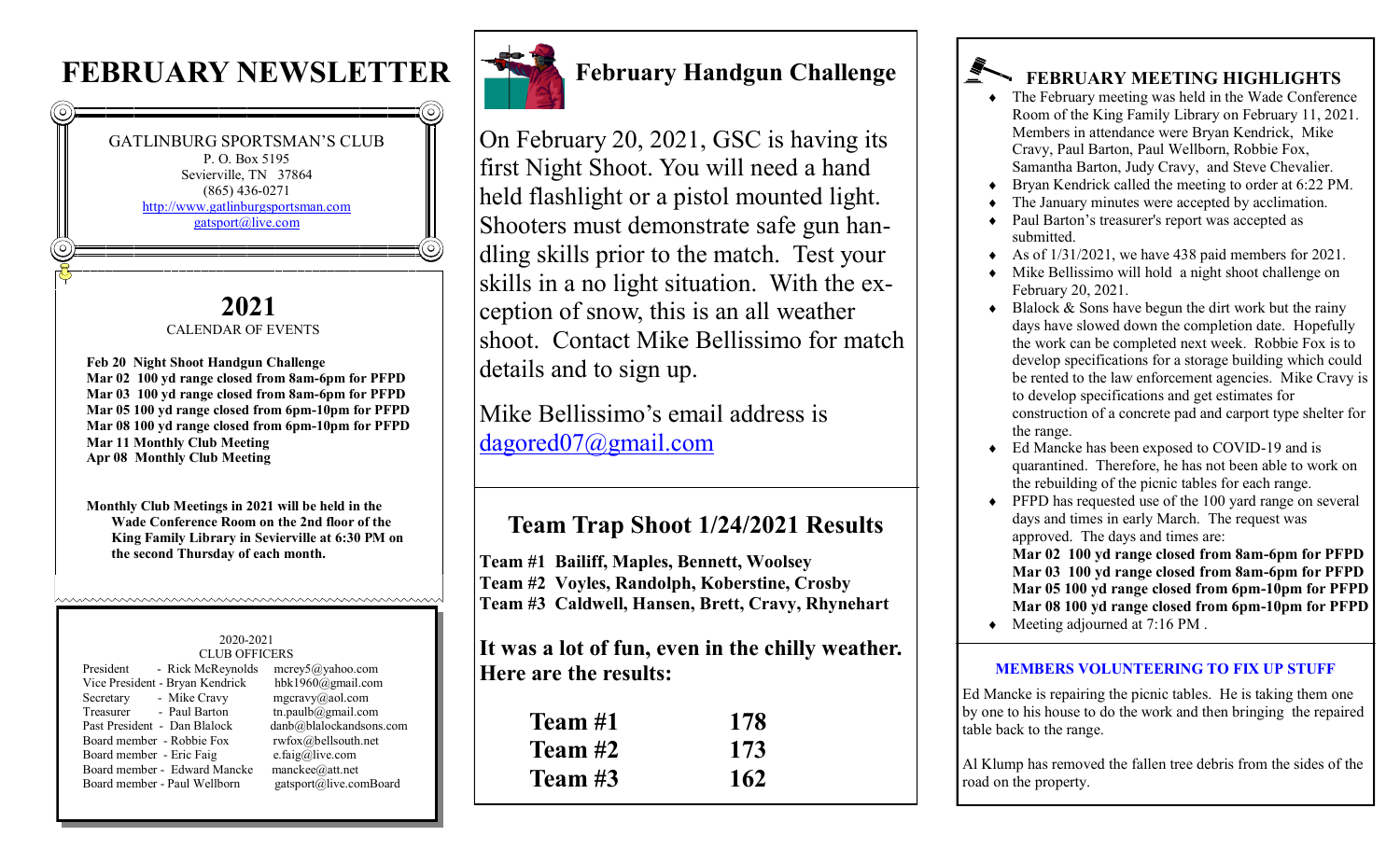# **FEBRUARY NEWSLETTER**





# **February Handgun Challenge**

On February 20, 2021, GSC is having its first Night Shoot. You will need a hand held flashlight or a pistol mounted light. Shooters must demonstrate safe gun handling skills prior to the match. Test your skills in a no light situation. With the exception of snow, this is an all weather shoot. Contact Mike Bellissimo for match details and to sign up.

Mike Bellissimo's email address is [dagored07@gmail.com](mailto:dagored07@gmail.com)

## **Team Trap Shoot 1/24/2021 Results**

**Team #1 Bailiff, Maples, Bennett, Woolsey Team #2 Voyles, Randolph, Koberstine, Crosby Team #3 Caldwell, Hansen, Brett, Cravy, Rhynehart**

**It was a lot of fun, even in the chilly weather. Here are the results:**

| Team #1   | 178 |
|-----------|-----|
| Team $#2$ | 173 |
| Team $#3$ | 162 |

# **FEBRUARY MEETING HIGHLIGHTS**

- The February meeting was held in the Wade Conference Room of the King Family Library on February 11, 2021. Members in attendance were Bryan Kendrick, Mike Cravy, Paul Barton, Paul Wellborn, Robbie Fox, Samantha Barton, Judy Cravy, and Steve Chevalier.
- Bryan Kendrick called the meeting to order at 6:22 PM.
- The January minutes were accepted by acclimation.
- Paul Barton's treasurer's report was accepted as submitted.
- As of  $1/31/2021$ , we have 438 paid members for 2021.
- Mike Bellissimo will hold a night shoot challenge on February 20, 2021.
- Blalock  $\&$  Sons have begun the dirt work but the rainy days have slowed down the completion date. Hopefully the work can be completed next week. Robbie Fox is to develop specifications for a storage building which could be rented to the law enforcement agencies. Mike Cravy is to develop specifications and get estimates for construction of a concrete pad and carport type shelter for the range.
- Ed Mancke has been exposed to COVID-19 and is quarantined. Therefore, he has not been able to work on the rebuilding of the picnic tables for each range.
- ◆ PFPD has requested use of the 100 yard range on several days and times in early March. The request was approved. The days and times are:

**Mar 02 100 yd range closed from 8am-6pm for PFPD Mar 03 100 yd range closed from 8am-6pm for PFPD Mar 05 100 yd range closed from 6pm-10pm for PFPD Mar 08 100 yd range closed from 6pm-10pm for PFPD** 

Meeting adjourned at 7:16 PM .

#### **MEMBERS VOLUNTEERING TO FIX UP STUFF**

Ed Mancke is repairing the picnic tables. He is taking them one by one to his house to do the work and then bringing the repaired table back to the range.

Al Klump has removed the fallen tree debris from the sides of the road on the property.